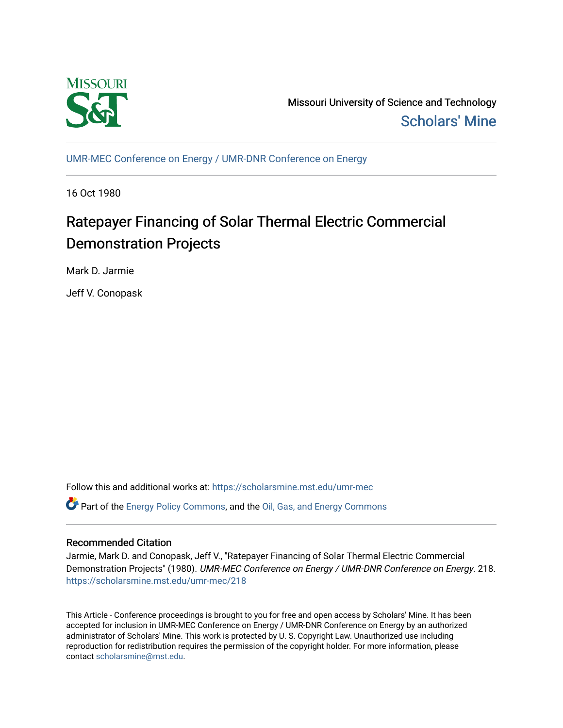

Missouri University of Science and Technology [Scholars' Mine](https://scholarsmine.mst.edu/) 

[UMR-MEC Conference on Energy / UMR-DNR Conference on Energy](https://scholarsmine.mst.edu/umr-mec)

16 Oct 1980

# Ratepayer Financing of Solar Thermal Electric Commercial Demonstration Projects

Mark D. Jarmie

Jeff V. Conopask

Follow this and additional works at: [https://scholarsmine.mst.edu/umr-mec](https://scholarsmine.mst.edu/umr-mec?utm_source=scholarsmine.mst.edu%2Fumr-mec%2F218&utm_medium=PDF&utm_campaign=PDFCoverPages)  Part of the [Energy Policy Commons](http://network.bepress.com/hgg/discipline/1065?utm_source=scholarsmine.mst.edu%2Fumr-mec%2F218&utm_medium=PDF&utm_campaign=PDFCoverPages), and the [Oil, Gas, and Energy Commons](http://network.bepress.com/hgg/discipline/171?utm_source=scholarsmine.mst.edu%2Fumr-mec%2F218&utm_medium=PDF&utm_campaign=PDFCoverPages)

# Recommended Citation

Jarmie, Mark D. and Conopask, Jeff V., "Ratepayer Financing of Solar Thermal Electric Commercial Demonstration Projects" (1980). UMR-MEC Conference on Energy / UMR-DNR Conference on Energy. 218. [https://scholarsmine.mst.edu/umr-mec/218](https://scholarsmine.mst.edu/umr-mec/218?utm_source=scholarsmine.mst.edu%2Fumr-mec%2F218&utm_medium=PDF&utm_campaign=PDFCoverPages) 

This Article - Conference proceedings is brought to you for free and open access by Scholars' Mine. It has been accepted for inclusion in UMR-MEC Conference on Energy / UMR-DNR Conference on Energy by an authorized administrator of Scholars' Mine. This work is protected by U. S. Copyright Law. Unauthorized use including reproduction for redistribution requires the permission of the copyright holder. For more information, please contact [scholarsmine@mst.edu](mailto:scholarsmine@mst.edu).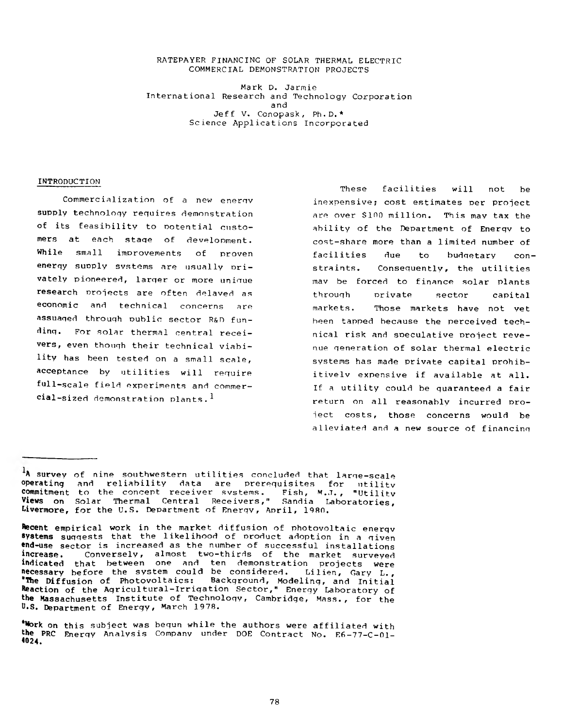#### **RATEPAYER FINANCING OF SOLAR THERMAL ELECTRIC COMMERCIAL DEMONSTRATION PROJECTS**

**Mark D. Jarmie International Research and Technology Corporation and Jeff V. Conopask, Ph.D.\* Science Applications Incorporated**

### **INTRODUCTION**

**Commercialization of a new energy supply technology requires demonstration of its feasibility to potential customers at each staqe of development. While small improvements of proven energy supply svstems are usually privately pioneered, larger or more uniaue research projects are often delaved as economic and technical concerns are assuaged through public sector R&n funding. For solar thermal central receivers, even though their technical viability has been tested on a small scale, acceptance by utilities will require full-scale field experiments and commercial-sized demonstration plants. ^**

**These facilities will not be inexpensive; cost estimates per project are over \$100 million. This may tax the ability of the Department of Enerqv to cost-share more than a limited number of facilities due to budgetary constraints. Consequently, the utilities mav be forced to finance solar plants throuqh private sector capital markets. Those markets have not yet been tapped because the perceived technical risk and speculative project revenue generation of solar thermal electric systems has made private capital prohibitivelv expensive if available at all. If a utility could be guaranteed a fair return on all reasonably incurred project costs, those concerns would be alleviated and a new source of financing**

**A survey of nine southwestern utilities concluded that large-scale operating and reliability data are prerequisites for utilitv commitment Views on Livermore, to the concept receiver svstems. Fish, M.J. , "Utilitv Solar Thermal Central Receivers," Sandia Laboratories, for the U.S. Department of Enerqv, April, 198f).**

**Recent empirical work in the market diffusion of photovoltaic enerqv systems suggests that the likelihood of product adoption in a given end-use sector is increased as the number of successful installations increase. Conversely, almost two-thirds of the market surveyed indicated that between one and ten demonstration projects were necessary before the system could be considered. Lilien, Cary L. , 'Wie Diffusion of Photovoltaics: Background, Modeling, and Initial Reaction of the Agricultural-Irriqation Sector," Energy Laboratory of the Massachusetts Institute of Technology, Cambridge, Mass., for the U.S. Department of Energy, March 1978.**

**<sup>&#</sup>x27;Work on this subject was begun while the authors were affiliated with the PRC Enerqy Analysis Company under DOE Contract No. E6-77-C-01- 4024.**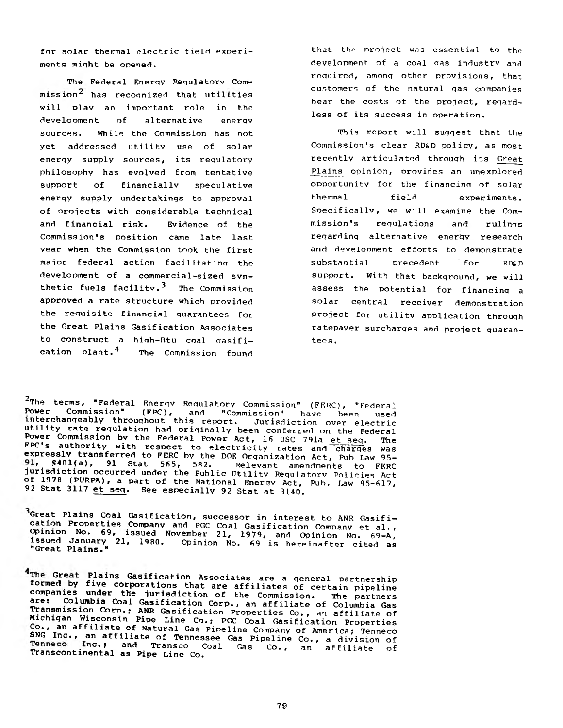**for solar thermal electric field experiments miqht be opened.**

**The Federal Enerqv Requlatorv Commission^ has recoqnized that utilities will olav an important role in the development of alternative enerqv sources. While the Commission has not yet addressed utilitv use of solar enerqy supply sources, its requlatory philosophy has evolved from tentative support of financially speculative enerqy supply undertakings to approval of projects with considerable technical and financial risk. Evidence of the Commission's position came late last year when the Commission took the first major federal action facilitatinq the development of a commercial-sized synthetic fuels facilitv.3 The Commission approved a rate structure which provided the requisite financial quarantees for the Great Plains Gasification Associates to construct a hinh-Rtu coal ossifi**cation plant.<sup>4</sup> The Commission found

**that the project was essential to the development of a coal qas industry and required, amonq other provisions, that customers of the natural qas companies bear the costs of the project, regardless of its success in operation.**

**This report will suqqest that the Commission's clear RD&D policy, as most recently articulated throuqh its Great Plains opinion, provides an unexplored opportunity for the financing of solar thermal field experiments. Specif icallv, we will examine the Commission's regulations and rulings reqardinq alternative enerqv research and development efforts to demonstrate substantial precedent for RD&D support. With that background, we will assess the potential for financinq a solar central receiver demonstration project for utilitv application throuqh ratepayer surcharges and project quarantees.**

2 **The terms, "Federal Enerqv Regulatory Commission" (FERC), "Federal Power Commission" (FPC), and "Commission" have been used interchangeably throughout this report. Jurisdiction over electric utility rate regulation had originally been conferred on the Federal Power Commission bv the Federal Power Act, 16 USC 791a et seq. The FPC's authority with respect to electricity rates and charges was expressly transferred to FERC by the DOE Organization Act, Pub Law 95- . •. 5401(a), 91 Stat 565, 582. Relevant amendments to FERC jurisdiction occurred under the Public Utilitv Requlatorv Policies Act of 1978 (PURPA), a part of the National Enerqv Act, Pub. Law 95-617, 92 Stat 3117 et seq. See especially 92 Stat at 3140.**

**Great Plains Coal Gasification, successor in interest to ANR Gasification Properties Company and PGC Coal Gasification Company et al. , Opinion No. 69, issued November 21, 1979, and Opinion No. 69-A, issued January 21, 1980. Opinion No. 69 is hereinafter cited as "Great Plains."**

<sup>4</sup>The Great Plains Gasification Associates are a general partnership **formed by five corporations that are affiliates of certain pipeline companies under the jurisdiction of the Commission. The partners are: Columbia Coal Gasification Corp., an affiliate of Columbia Gas Transmission Corp.; ANR Gasification Properties Co., an affiliate of Michigan Wisconsin Pipe Line Co.; PGC Coal Gasification Properties c£;r Tan afflliat®. ,°.f Natural Gas Pipeline Company of America; Tenneco SNG Inc., an affiliate of Tennessee Gas Pipeline Co., a division of** Tenneco Inc.; and Transco Coal Gas Co., an affiliate of<br>Transcontinental as Pipe Line Co.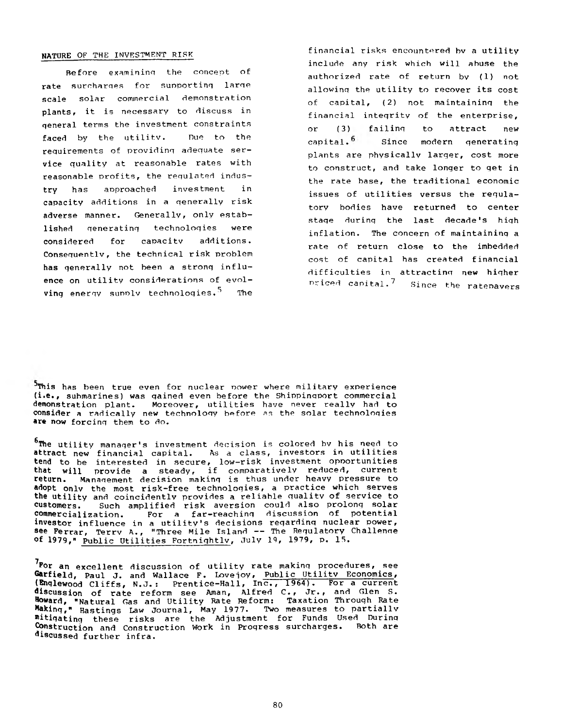#### **NATURE** OF THE INVESTMENT RISK

Before examining the concept of rate surcharges for supporting larqe scale solar commercial demonstration plants, it is necessary to discuss in qeneral terms the investment constraints faced by the utility. Due to the requirements of providing adequate service quality at reasonable rates with reasonable profits, the requlated industry has aoproached investment in capacity additions in a qenerally risk adverse manner. Generally, only established qeneratinq technoloqies were considered for capacity additions. Consequentlv, the technical risk problem has qenerally not been a stronq influence on utility considerations of evolving energy supply technologies.<sup>5</sup> The

financial risks encountered bv a utility include any risk which will abuse the authorized rate of return bv (1) not allowinq the utility to recover its cost of capital, (2) not maintaininq the financial inteqrity of the enterprise, or (3) failinq to attract new capital.<sup>6</sup> Since modern generating plants are physically larger, cost more to construct, and take longer to get in the rate base, the traditional economic issues of utilities versus the regulatory bodies have returned to center stage during the last decade's high inflation. The concern of maintaining a rate of return close to the imbedded cost of capital has created financial difficulties in attractinq new hiqher nriced capital. $7$  Since the rate navers

<sup>5</sup>This has been true even for nuclear nower where military experience (i.e., submarines) was qained even before the Shippinqport commercial demonstration plant. Moreover, utilities have never really had to consider a radically new technology before as the solar technologies are now forcinq them to do.

<sup>6</sup>The utility manager's investment decision is colored by his need to attract new financial capital. As a class, investors in utilities tend to be interested in secure, low-risk investment opoortunities that will provide a steady, if comparatively reduced, current return. Manaqement decision makinq is thus under heavy pressure to **adopt** only the most risk-free technoloqies, a practice which serves the utility and coincidently provides a reliable quality of service to customers. Such amplified risk aversion could also prolonq solar commercialization. For a far-reachinq discussion of potential commercialization. For a far-reaching discussion of potential<br>investor influence in a utility's decisions regarding nuclear power, see Ferrar, Terry A., "Three Mile Island -- The Requlatory Challenge of 1979," Public Utilities Fortnightly, July 19, 1979, p. IS. 7

 $7$ Por an excellent discussion of utility rate making procedures, see Garfield, Paul J. and Wallace F. Lovejoy, Public Utility Economics, (Enqlewood Cliffs, N.J.: Prentice-Hall, Inc., 1964). For a current discussion of rate reform see Aman, Alfred C., Jr., and Glen S. Howard, "Natural Gas and Utility Rate Reform: Taxation Throuqh Rate Making," Hastings Law Journal, May 1977. Two measures to partially mitigating these risks are the Adjustment for Funds Used During Construction and Construction Work in Progress surcharges. Both are discussed further infra.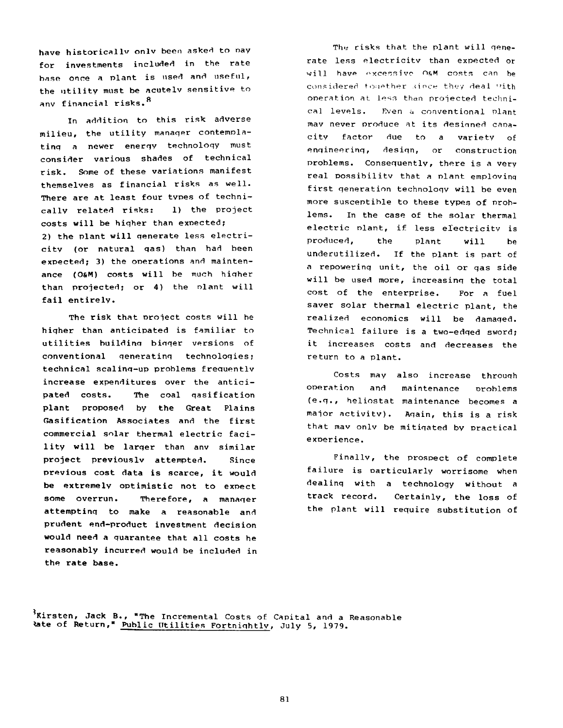**have historicallv onlv been asked to nay for investments included in the rate base once a plant is used and useful, the utility must be acutelv sensitive to 8 anv financial risks.**

**In addition to this risk adverse milieu, the utility manaqer contemplating a newer energy technology must consider various shades of technical risk. Some of these variations manifest themselves as financial risks as well. There are at least four types of technically related risks: 1) the project costs will be higher than expected; 2) the plant will generate less electricity (or natural gas) than had been expected; 3) the operations and maintenance (O&M) costs will be much higher** than projected; or 4) the plant will **fail entirely.**

**The risk that project costs will be hiqher than anticipated is familiar to utilities building bigger versions of conventional generating technologies; technical scaling-up problems frequentlv increase expenditures over the anticipated costs. The coal gasification plant proposed by the Great Plains Gasification Associates and the first commercial solar thermal electric facility will be larger than anv similar project previouslv attempted. Since previous cost data is scarce, it would be extremely optimistic not to expect some overrun. Therefore, a manager attempting to make a reasonable and prudent end-product investment decision would need a guarantee that all costs he reasonably incurred would be included in the rate base.**

The risks that the plant will gene**rate less electricitv than expected or**  $will$  have excessive O<sub>b</sub>M costs can be considered together since they deal with **operation at** less **than projected technical levels. Even** a **conventional plant mav never produce at its designed capacity factor due to a variety of engineering, design, or construction problems. Consequently, there is a very real possibilitv that a plant emplovinq first generation technology will be even more susceptible to these types of problems. In the case of the solar thermal electric plant, if less electricitv is produced, the plant will be underutilized. If the plant is part of a repowering unit, the oil or gas side will be used more, increasing the total cost of the enterprise. For a fuel saver solar thermal electric plant, the realized economics will be damaqed. Technical failure is a two-edged sword; it increases costs and decreases the return to a plant.**

**Costs may also increase through operation and (e.g., heliostat maintenance becomes a major activity), that mav onlv be mitigated by practical experience. maintenance problems Again, this is a risk**

**Finally, the prospect of complete failure is particularly worrisome when dealinq with a technology without a track record. Certainly, the loss of the plant will require substitution of**

**^Kirsten, Jack B., "The Incremental Costs of Capital and a Reasonable \*ate of Return," Public Utilities Fortnightly, July 5, 1979.**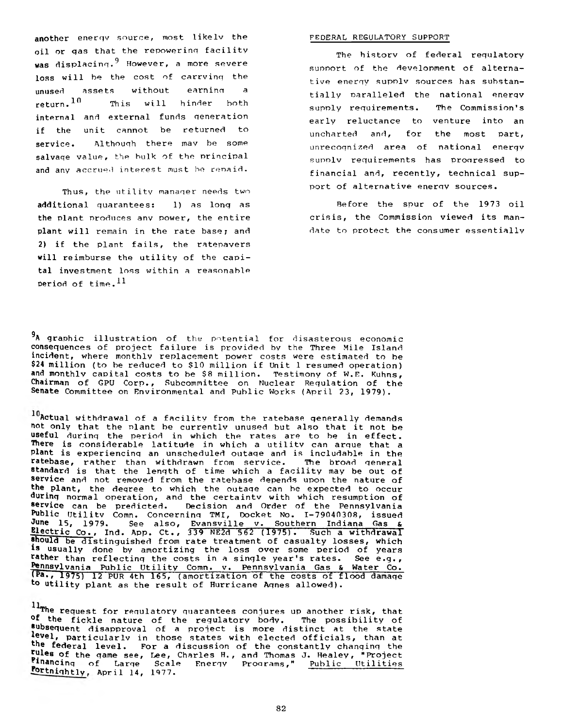**another enerqv source, most likelv the** FEDERAL REGULATORY SUPPORT **oil or qas that the repowerinq facility was displacing.9 However, a more severe loss will be the cost of carrvinq the unused assets without earninn a return. ^ This will hinder both** internal and external funds generation **if the unit cannot be returned to service. Althouqh there mav be some salvaqe value, the bulk of the nrincipal and any accrued interest must be renaid.**

**Thus, the utility manaqer needs two additional quarantees: 1) as lonq as the plant produces anv power, the entire plant will remain in the rate base; and 2) if the plant fails, the ratepayers will reimburse the utility of the capital investment loss within a reasonable**  $period of time.<sup>11</sup>$ 

**The historv of federal requlatory support of the development of alternative enerqy supolv sources has substantially paralleled the national enerqv supply requirements. The Commission's early reluctance to venture into an uncharted and, for the most part, unrecognized area of national enerqy supolv requirements has pronressed to financial and, recently, technical support of alternative enerqv sources.**

**Before the spur of the 1973 oil crisis, the Commission viewed its mandate to protect the consumer essentially**

**9 A graphic illustration of the potential for disasterous economic consequences of project failure is provided by the Three Mile Island incident, where monthly replacement power costs were estimated to be \$24 million (to be reduced to \$10 million if Unit 1 resumed operation) and monthly capital costs to be \$8 million. Testimony of** W.E. **Kuhns, Chairman of GPU Corp. , Subcommittee on Nuclear Regulation of the Senate Committee on Environmental and Public Works (April 23, 1979).**

**Actual withdrawal of a facility from the ratebase qenerally demands not only that the Plant be currently unused but also that it not be useful during the period in which the rates are to be in effect. There is considerable latitude in which a utilitv can argue that a plant is experiencing an unscheduled outaqe and is includable in the ratebase, rather than withdrawn from service. The broad general standard is that the length of time which a facility may be out of service and not removed from the ratebase depends upon the nature of the plant, the deqree to which the outaqe can be expected to occur durinq normal operation, and the certaintv with which resumption of service can be predicted. Decision and Order of the Pennsylvania Public Utilitv Comn. Concerning TMI, Docket No. 1-79040308, issued June 15, 1979. See also, Evansville v. Southern Indiana Gas & Electric Co., Ind. App. Ct., 33\$ NE2d 562 (1975). Such a withdrawal should be distinguished from rate treatment of casualty losses, which is usually done by amortizing the loss over some period of years rather than reflecting the costs in a sinqle year's rates. See e.g., Pennsylvania Public Utility Comn. v. Pennsylvania Gas & Water Co. (pa., 1975) 12 PUR 4th 165, (amortization of the costs of flood damaqe to utility plant as the result of Hurricane Agnes allowed).**

**The request for requlatory quarantees conjures up another risk, that °f the fickle nature of the regulatory body. The possibility of subsequent disapproval of a project is more distinct at the state \*®vel, particularly in those states with elected officials, than at the federal level. For a discussion of the constantly changing the Jules of the qame see, Lee, Charles H., and Thomas J. Healey, "Project inancinq of Large Scale Energy Programs," Public Utilities Eortnightlv. April 14, 1977.**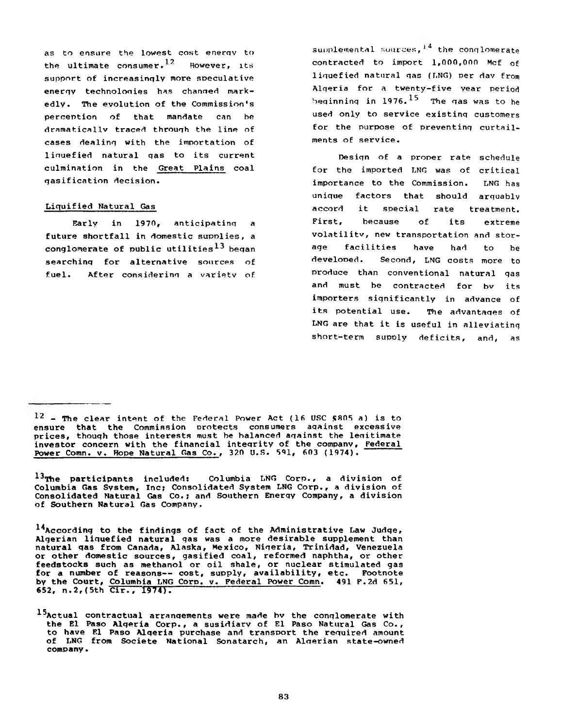**as to ensure the lowest cost enerqv to • 1 2 the ultimate consumer. However, its support of increasinqly more speculative enerqv technoloqies has changed markedly. The evolution of the Commission's perception of that mandate can he dramatical.lv traced throuqh the line of cases dealinq with the importation of liquefied natural qas to its current culmination in the Great Plains coal gasification decision.**

#### **Liquified Natural Gas**

**Early in 1970, anticipatinq a future shortfall in domestic supplies, a conglomerate of public utilities beqan searchinq for alternative sources of fuel. After considerinq a varietv of**

supplemental sources,<sup>14</sup> the conglomerate **contracted to import 1,000,000 Mcf of liquefied natural qas (LNG) per dav from Alqeria for a twenty-five year period beqinninq in 1976.^ The qas was to he used only to service existinq customers for the purpose of preventing curtailments of service.**

**Desiqn of a proper rate schedule for the imported LNG was of critical importance to the Commission. LNG has unique factors that should arguably accord it special rate treatment. First, because of its extreme volatilitv, new transportation and storage facilities have had to be developed. Second, LNG costs more to produce than conventional natural qas and must be contracted for bv its importers significantly in advance of its potential use. The advantages of LNG are that it is useful in alleviating short-term supply deficits, and, as**

13<sub>The participants included: Columbia LNG Corp., a division of</sub> **Columbia Gas System, Inc? Consolidated System LNG Corp., a division of Consolidated Natural Gas Co.; and Southern Enerqy Company, a division of Southern Natural Gas Company.**

**14 According to the findings of fact of the Administrative Law Judqe, Algerian liquefied natural qas was a more desirable supplement than natural qas from Canada, Alaska, Mexico, Nigeria, Trinidad, Venezuela or other domestic sources, gasified coal, reformed naphtha, or other feedstocks such as methanol or oil shale, or nuclear stimulated gas for a number of reasons— cost, supply, availability, etc. Footnote by the Court, Columbia LNG Coro. v. Federal Power Comn. 491 F.2d 651, 652, n .2,(5th Cir., 1974).**

**<sup>12 -</sup> The clear intent of the Federal Power Act (16 USC \$805 a) is to ensure that the Commission protects consumers aqainst excessive prices, thouqh those interests must be balanced aqainst the legitimate investor concern with the financial integrity of the company, Federal** Power Comn. v. Hope Natural Gas Co., 320 U.S. 591, 603 (1974).

**<sup>15</sup> Actual contractual arranqements were made bv the conglomerate with the El Paso Alqeria Corp., a susidiarv of El Paso Natural Gas Co., to have El Paso Alqeria purchase and transport the required amount of LNG from Societe National Sonatarch, an Algerian state-owned company.**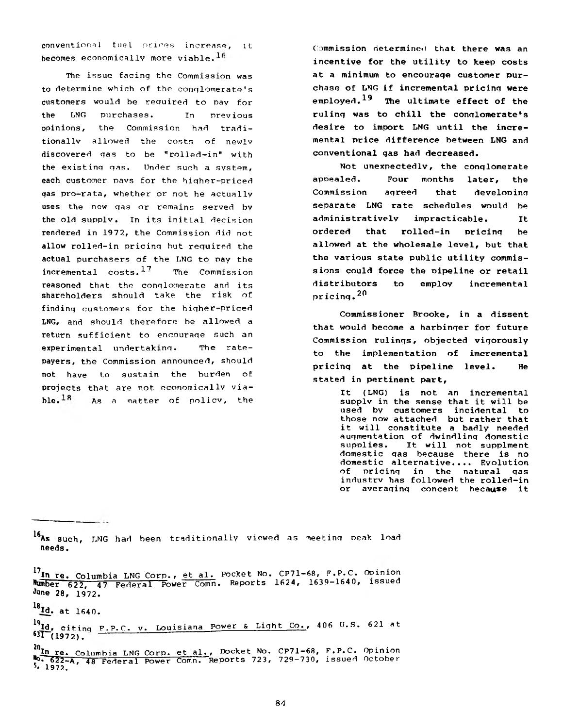**conventional** fuel prices **increase, it becomes economically more viable.**

**The issue facing the Commission was to determine which of the conglomerate's customers would be required to pay for the LNG purchases. In previous opinions, the Commission had traditionally allowed the costs of newlv discovered gas to be "rolled-in" with the existing qas. Under such a system, each customer pavs for the hiqher-priced qas pro-rata, whether or not he actually uses the new gas or remains served bv the old supply. In its initial decision rendered in 1972, the Commission did not allow rolled-in pricing but required the actual purchasers of the LNG to pay the • 1 7 incremental costs. The Commission reasoned that the conglomerate and its shareholders should take the risk of finding customers for the higher-priced LNG, and should therefore be allowed a return sufficient to encourage such an experimental undertaking. The ratepayers, the Commission announced, should not have to sustain the burden of projects that are not economically viable. As a matter of policy, the**

**Commission determined that there was an incentive for the utility to keep costs at a minimum to encourage customer purchase of LNG if incremental pricing were** employed.<sup>19</sup> The ultimate effect of the ruling was to chill the conglomerate's **desire to import LNG until the incremental price difference between LNG and conventional gas had decreased.**

**Not unexpectedly, the conglomerate appealed. Four months later, the Commission agreed that developing separate LNG rate schedules would be administratively impracticable. It ordered that rolled-in pricing be allowed at the wholesale level, but that the various state public utility commissions could force the pipeline or retail distributors to employ incremental** pricing.<sup>20</sup>

**Commissioner Brooke, in a dissent that would become a harbinger for future Commission rulings, objected vigorously to the implementation of imcremental pricing at the pipeline level. He stated in pertinent part,**

> **It (LNG) is not an incremental supply in the sense that it will be used by customers incidental to those now attached but rather that it will constitute a badly needed augmentation of dwindling domestic supplies. It will not supplment domestic gas because there is no domestic alternative.... Evolution of pricing in the natural gas industry has followed the rolled-in or averaging concept because it**

**l6As such, LNG had been traditionally viewed as meeting peak load needs.**

<sup>18</sup>**, . Id. at 1640.**

**l7In re. Columbia LNG Corp., et al. Pocket No. CP71-68, F.P.C. Opinion Number 622, 57 Federal Power Comn. Reports 1624, 1639-1640, issued June 28, 1972.**

**<sup>^</sup>Id, citinq F.P.C. v. Louisiana Power & Light Co., 406 U.S. 621 at**  $^{63}$  $(1972)$ .

**<sup>2°</sup>In re. Columbia LNG Corp. et al., Docket No. CP71-68, F.P.C. Opinion No\* 622-A, 48 Federal Power Conin'. 'Reports 723, 729-730, issued October 5\* 1972.**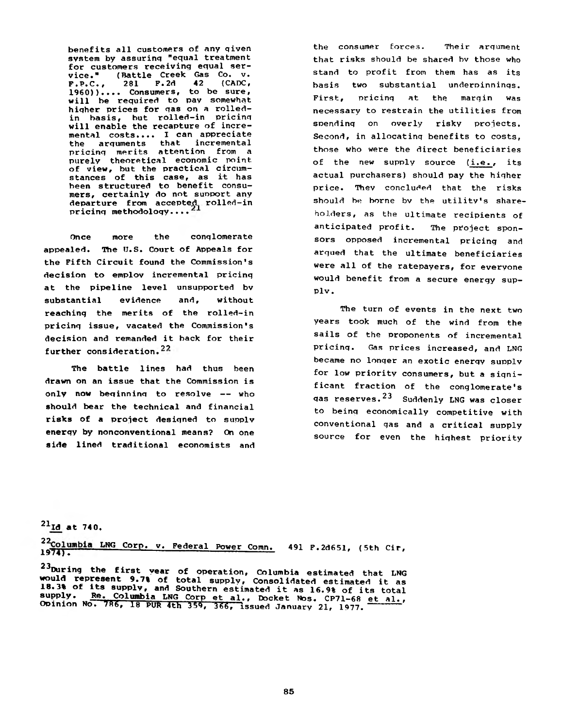**benefits all customers of any qiven system by assurinq "equal treatment for customers receiving equal service." (Battle Creek Gas Co. v. F.P.C., 281 F.2d 42 (CADC, I960)).... Consumers, to be sure, will be required to pay somewhat hiqher prices for gas on a rolledin basis, but rolled-in pricing will enable the recapture of incremental costs.... I can appreciate the arguments that incremental pricinq merits attention from a purely theoretical economic point, of view, but the practical circumstances of this case, as it has been structured to benefit consumers, certainly do not suoport any departure from accepted rolled-in pricinq methodology.... 1**

**Once more the conglomerate** appealed. The U.S. Court of Appeals for **the Fifth Circuit found the Commission's decision to emplov incremental pricinq at the pipeline level unsupported bv substantial evidence and, without reachinq the merits of the rolled-in pricinq issue, vacated the Commission's decision and remanded it back for their** further consideration.<sup>22</sup>

**The battle lines had thus been drawn on an issue that the Commission is only now beginning to resolve — who should bear the technical and financial risks of a project desiqned to suoplv enerqy by nonconventional means? On one side lined traditional economists and** **the consumer forces. Their argument that risks should be shared bv those who stand to profit from them has as its basis two substantial underpinnings. First, pricinq at the margin was necessary to restrain the utilities from spending on overly risky projects. Second, in allocating benefits to costs, those who were the direct beneficiaries of the new supply source (i.e. , its actual purchasers) should pay the higher price. Thev concluded that the risks should be borne bv the utility's shareholders, as the ultimate recipients of anticipated profit. The project sponsors opposed incremental pricing and arqued that the ultimate beneficiaries were all of the ratepayers, for everyone would benefit from a secure energy supply.**

**The turn of events in the next two years took much of the wind from the sails of the proponents of incremental pricinq. Gas prices increased, and LNG became no lonqer an exotic energy supply for low priority consumers, but a significant fraction of the conglomerate's gas reserves.23 Suddenly LNG was closer to being economically competitive with conventional gas and a critical supply source for even the highest priority**

## $^{21}$ Id at 740.

<sup>22</sup>Columbia LNG Corp. v. Federal Power Comn. 491 F.2d651, (5th Cir,<br>1974).

**2 3 During the first year of operation, Columbia estimated that LNG would represent 9.7% of total supply, Consolidated estimated it as 18.3% of its supply, and Southern estimated it as 16.9% of its total supply. Re. Columbia LNG Corp et al.. Docket Nos. CP71-6R et al. ,** Opinion No. 786, 18 PUR 4th 359, 366, issued January 21, 1977.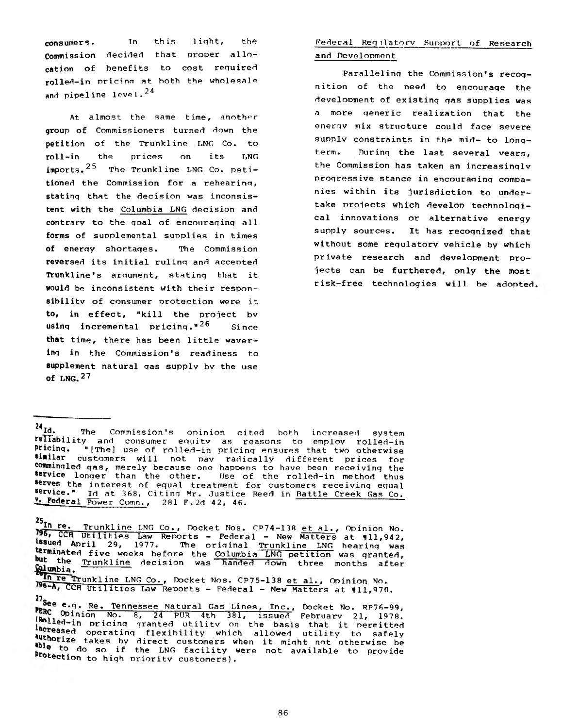**consumers. In this light, the Commission decided that proper allocation of benefits to cost required rolled-in pricinn at both the wholesale and pipeline level.24**

**At almost the same time, another group of Commissioners turned down the petition of the Trunkline LNG Co. to roll-in the prices on its LNG** imports.<sup>25</sup> The Trunkline LNG Co. peti**tioned the Commission for a rehear inn, statinq that the decision was inconsistent with the Columbia LNG decision and contrary to the qoal of encouraqinq all forms of supplemental supplies in times of enerqy shortaqes. The Commission reversed its initial rulinq and accepted Trunkline's argument, statinq that it would be inconsistent with their responsibility of consumer protection were it to, in effect, "kill the project bv usinq incremental pricinq."2^ Since that time, there has been little wavering in the Commission's readiness to supplement natural qas supply bv the use of LNG.27**

# **Federal RegiIatorv Support of Research and Development**

**Paralleling the Commission's recognition of the need to encouraqe the develooment of existinq qas supplies was a more generic realization that the enerqv mix structure could face severe supply constraints in the mid- to lonqterm. During the last several vears, the Commission has taken an increasinqlv progressive stance in encouraging companies within its jurisdiction to under**take projects which develop technologi**cal innovations or alternative energy supply sources. It has recognized that without some regulatory vehicle by which private research and development projects can be furthered, only the most risk-free technologies will be adopted**

 $^{25}$ In re. **re. Trunkline LNG Co., Docket Nos. CP74-138 et al., Opinion No.** 196, CCH Utilities Law Reports - Federal - New Matters at 111,942, **ssued April 29, 1977. The original Trunkline LNG hearinq was** ermmated **five weeks before the Columbia LNG petition was granted, " the Trunkline** decision was handed down three months after **iumbia. in re Trunkline LNG Co., Docket Nos. CP75-138 et al., Opinion No.**

**<sup>24</sup> Id. The Commission's opinion cited both increased system rey^®kility and consumer equity as reasons to employ rolled-in Pricinq. "[The] use of rolled-in pricing ensures that two otherwise similar customers will not pav radically different prices for commingled gas, merely because one happens to have been receiving the service longer than the other. Use of the rolled-in method thus serves the interest of equal treatment for customers receiving equal service." id at 368, Citing Mr. Justice Reed in Battle Creek Gas Co. ^Federal Power Comn., 281 F . 2d 42, 46. "**

<sup>196-</sup>A, CCH Utilities Law Reports - Federal - New Matters at 111,970.

<sup>27&</sup>lt;br>**Bee e.g. <u>Re. Tennessee Natural Gas Lines, Inc., Docket No. RP76-99,**</u> **(Roll of Inion No. 8, 24 PUR 4th 381, issued February 21, 1978. In Polled-in pricing granted utility on the basis that it permitted authomic operating flexibility which allowed utility to safely** •bl °ri2e **talces bv direct customers when it might not otherwise be Proto** do so if the LNG facility were not available to provide **section to high nrioritv customers).**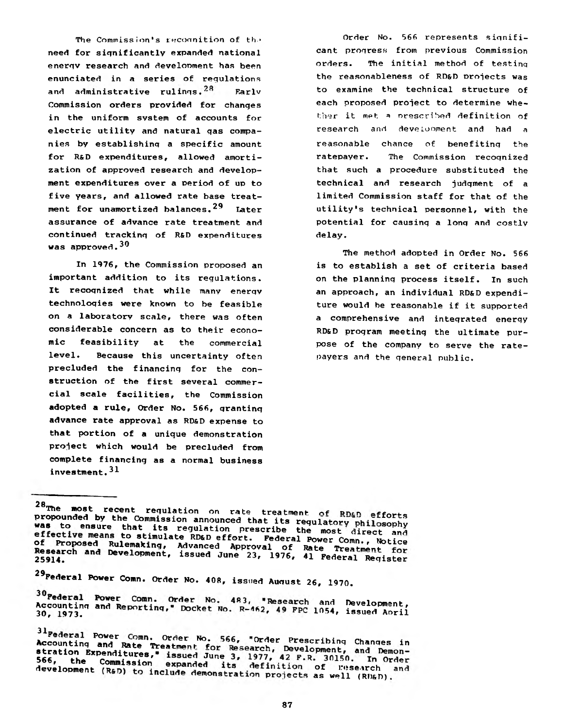The Commission's recognition of the need for significantly expanded national enerqv research and development has been enunciated in a series of requlations and administrative rulings.<sup>28</sup> Farlv Commission orders provided for changes in the uniform system of accounts for electric utility and natural gas companies by establishing a specific amount for R&D expenditures, allowed amortization of approved research and development expenditures over a period of up to five years, and allowed rate base treatment for unamortized balances.<sup>29</sup> Later assurance of advance rate treatment and continued tracking of R&D expenditures **was approved .30**

**In 1976, the Commission proposed an** important addition to its regulations. It recognized that while many energy technologies were known to be feasible on a laboratory scale, there was often considerable concern as to their economic feasibility at the commercial level. Because this uncertainty often precluded the financing for the construction of the first several commercial scale facilities, the Commission adopted a rule, Order No. 566, granting advance rate approval as RD&D expense to that portion of a unique demonstration project which would be precluded from complete financing as a normal business investment.<sup>31</sup>

Order No. 566 represents significant progress from previous Commission orders. The initial method of testing the reasonableness of RD&D projects was to examine the technical structure of each proposed project to determine whether it met a prescribed definition of **research** and develonment **and had** a **reasonable** chance of benefiting the ratepayer. The Commission recognized that such a procedure substituted the technical and research judgment of a limited Commission staff for that of the utility's technical personnel, with the potential for causing a long and costly **d e lay .**

The method adopted in Order No. 566 is to establish a set of criteria based on the planning process itself. In such an approach, an individual RD&D expenditure would be reasonable if it supported a comprehensive and integrated energy RD&D program meeting the ultimate purpose of the company to serve the ratepayers and the general public.

29 Federal Power Comn. Order No. 408, issued August 26, 1970.

**<sup>28</sup> The most r e c e n t r e g u l a t i o n on r a t e tre a tm en t o f p n m \_** *c c* **\_\_,** propounded by the Commission announced that its regulatory philosophy was to ensure that its regulation prescribe the most direct and effective means to stimulate RD&D effort. Federal Power Comn., Notice **or frequency rulemaking, Advanced Approval of Rate Treatment** 25914 <sup>21</sup> 2004 Development, issued June 23, 1976, 41 Federal Register

<sup>30</sup> Federal Power Comn. Order No. 483, "Research and Development,<br>Accounting and Reporting," Docket No. R-462, 49 FPC 1054, issued April

*alpederal Power Comn. Order No. 566, "Order Prescribing Changes in* $\frac{1}{2}$ Accounting and Rate Treatment for Research, Development, and Demonstration Expenditures," issued June 3, 1977, 42 F.R. 30150. In Order 566, the Commission expanded its definition of Eesearch and development (R&D) to include demonstration projects as well (RD&D).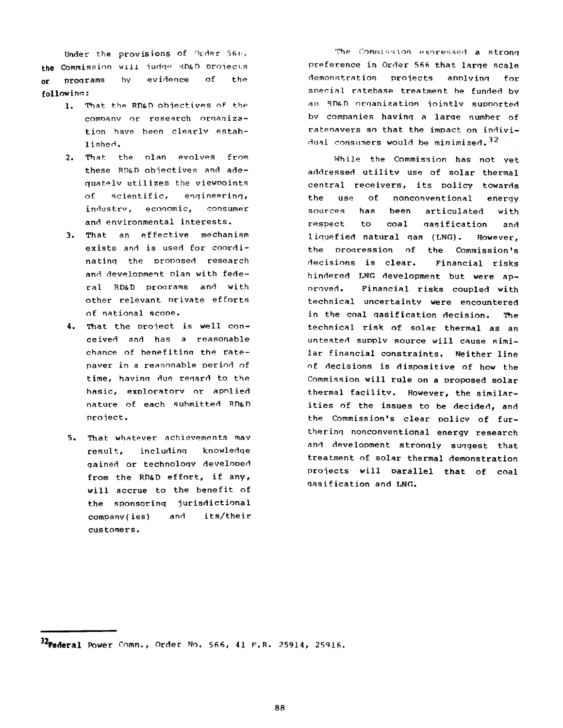**Under the provisions of Order 56 v, the Commission will judqe RD&D projects or proqrams by evidence of the followinn:**

- **1. That the RD&D objectives of the comnanv or research orqanization have been clearlv established .**
- **2. That the plan evolves from these RD&D objectives and adequatelv utilizes the viewpoints of scientific, enqineerinq, industrv, economic, consumer and environmental interests.**
- **3. That an effective mechanism exists and is used for coordinatinq the proposed research and development plan with federal RD&D proqrams and with other relevant nrivate efforts of national scope.**
- **4. That the project is well conceived and has a reasonable chance of benefitinq the ratepaver in a reasonable period of time, havinq due reqard to the basic, exploratorv or applied nature of each submitted RD&D project. 5**
- **5. That whatever achievements mav result, includinq knowledqe qained or technoloqy developed from the RD&D effort, if any, will accrue to the benefit of the sponsorinq jurisdictional companv(ies) and its/their customers.**

The Commission exoressed **a stronq preference in Order 566 that larqe scale demonstration projects applvinq for** soecial **ratebase treatment be funded by an RD&D orqanization jointlv supported by companies havinq a larqe number of ratenavers so that the impact on indivi**dual **consumers would be minimized.**

**While the Commission has not yet addressed utilitv use of solar thermal central receivers, its policy towards the use of nonconventional enerqy sources has been articulated with respect to coal qasification and liquefied natural qas (LNG). However, the proqression of the Commission's decisions is clear. Financial risks hindered LNG development but were approved. Financial risks coupled with technical uncertainty were encountered in the coal qasification decision. The technical risk of solar thermal as an untested supplv source will cause similar financial constraints. Neither line of decisions is dispositive of how the Commission will rule on a proposed solar thermal facilitv. However, the similarities of the issues to be decided, and the Commission's clear policv of furtherinq nonconventional energy research and development stronqly suqgest that treatment of solar thermal demonstration projects will parallel that of coal qasification and LNG.**

**<sup>^</sup>Federal Power Comn., Order No. 566, 41 F.R. 25914, 25916.**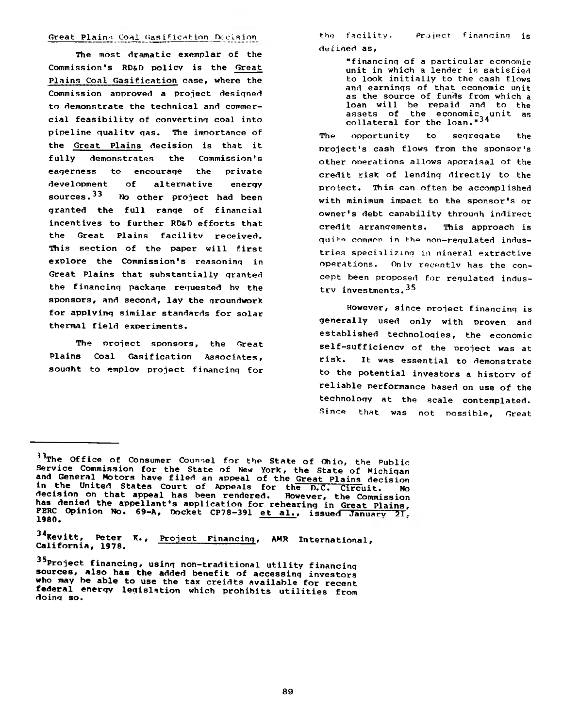**The most dramatic exemplar of the Commission's RD&D policy is the Great Plains Coal Gasification case, where the Commission approved a project designed to demonstrate the technical and commercial feasibility of convertinq coal into pipeline quality qas. The imnortance of the Great Plains decision is that it fully demonstrates the Commission's eagerness to encouraqe the private development of alternative energy sources.33 No other project had been granted the full range of financial incentives to further RD&D efforts that the Great Plains facilitv received. Tftis section of the paper will first explore the Commission's reasoning in Great Plains that substantially granted the financing package requested bv the sponsors, and second, lay the groundwork for applying similar standards for solar thermal field experiments.**

**The project sponsors, the Great Plains Coal Gasification Associates, sought to employ project financing for**

Great Plains Coal Gasification Decision **be the facility.** Project financing is **the facility, defined as,**

> **"financing of a particular economic unit in which a lender is satisfied to look initially to the cash flows and earnings of that economic unit as the source of funds from which a loan will be repaid and to the assets of the economic unit as collateral for the loan."34**

**The opportunity to segregate the project's cash flows from the sponsor's other operations allows appraisal of the credit risk of lending directly to the project. This can often be accomplished with minimum impact to the sponsor's or owner's debt capability through indirect credit arrangements. This approach is** quite common in the non-regulated indus**tries** specializing in **mineral extractive operations.** On**Ly recently has the** con**cept been proposed** for **regulated industry investments. 35**

**However, since project financing is generally used only with proven and established technologies, the economic self-sufficiency of the project was at risk. It was essential to demonstrate to the potential investors a history of reliable performance based on use of the technology at the scale contemplated. Since that was not possible, Great**

**3 4Kevitt, Peter K., Project Financing, AMR International. California, 1978. --- ---------------**

**<sup>3 3</sup>The Office of Consumer Counsel for the State of Ohio, the Public Service Commission for the State of New York, the State of Michigan and General Motors have filed an appeal of the Great Plains decision in the United States Court of Appeals for the dTC^ Circuit. No decision on that appeal has been rendered. However, the Commission has denied the appellant's application for rehearing in Great Plains,** FERC Opinion No. 69-A, Docket CP78-391 et al., issued January 21,<br>1980.

**<sup>35 . . .</sup> Project financing, using non-traditional utility financing sources, also has the added benefit of accessing investors who may be able to use the tax creidts available for recent federal energy legislation which prohibits utilities from doing so.**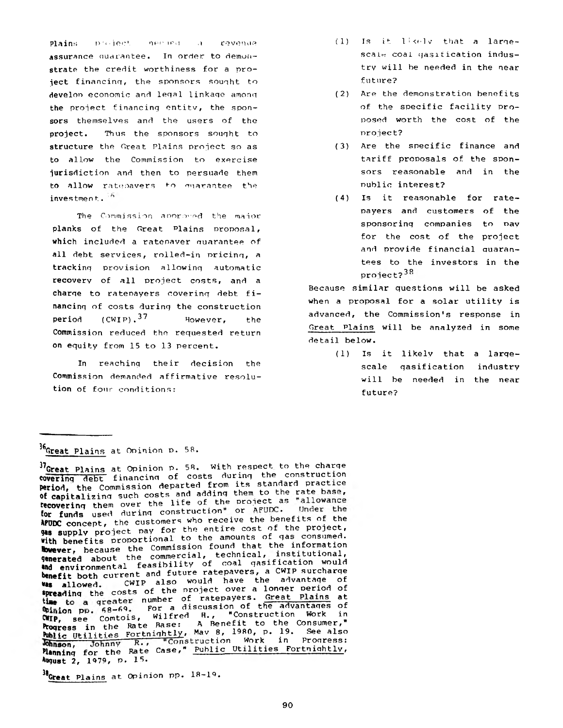Plains project necled a revenue assurance auarantee. In order to demonstrate the credit worthiness for a project financinq, the sponsors souqht to develop economic and legal linkage among the project financinq entitv, the sponsors themselves and the users of the project. Thus the sponsors souqht to structure the Great Plains project so as to allow the Commission to exercise jurisdiction and then to persuade them to allow ratepavers to quarantee the investment. <sup>6</sup>

The Commission aporoved the major **planks of the Great Plains proposal, which included a ratepayer quarantee of all debt services, rolled-in pricinq, a trackinq provision allowinq automatic recovery of all project costs, and a charqe to ratepayers coverinq debt financinq of costs durinq the construction period** (CWIP).<sup>37</sup> However, the **Commission reduced the requested return on equity from 15 to 13 percent.**

**In reachinq their decision the Commission demanded affirmative resolution of four conditions:**

- (1) Is it likely that a largescale coal qasitication industry will he needed in the near future?
- (2) Are the demonstration benefits of the specific facility proposed worth the cost of the project?
- (3) Are the specific finance and tariff proposals of the sponsors reasonable and in the public interest?
- (4) Is it reasonable for ratepayers and customers of the sponsoring companies to nav for the cost of the project and provide financial quarantees to the investors in the project?<sup>38</sup>

Because similar questions will be asked when a proposal for a solar utility is advanced, the Commission's response in Great Plains will be analyzed in some detail below.

> (1) Is it likely that a largescale qasification industry will be needed in the near future?

# 36,**Great Plains at Opinion** <sup>p</sup> . **58.**

**^Great Plains at Opinion pp. 18-19.**

<sup>37</sup>Great Plains at Opinion p. 58. With respect to the charge **coverinq** debt financing of costs during the construction **Period,** the Commission departed from its standard practice of capitalizing such costs and adding them to the rate base, **recovering** them over the life of the project as "allowance **for funds** used during construction" or AFUDC. Under the **tfODC** concept, the customers who receive the benefits of the **qas supp ly** project pay for the entire cost of the project, with benefits proportional to the amounts of gas consumed. **However,** because the Commission found that the information **generated** about the commercial, technical, institutional, where the discussion of coal gasification would benefit both current and future ratepayers, a CWIP surcharge **was allowed.** CWIP also would have the advantage of **\*preading** the costs of the project over a longer period of the to a greater number of ratepayers. Great Plains at was to a question of the advantages of WILLOW PP: 10 Comtois, Wilfred H., "Construction Work in **Progress** in the Rate Base: A Benefit to the Consumer," Public Utilities Fortnightly, Mav 8, 1980, p. 19. See also Johnson, Johnny R., "Construction Work in Progress: **Planning** for the Rate Case," <u>Public Utilities Fortnightly</u>, Awqust 2, 1979, P. 15.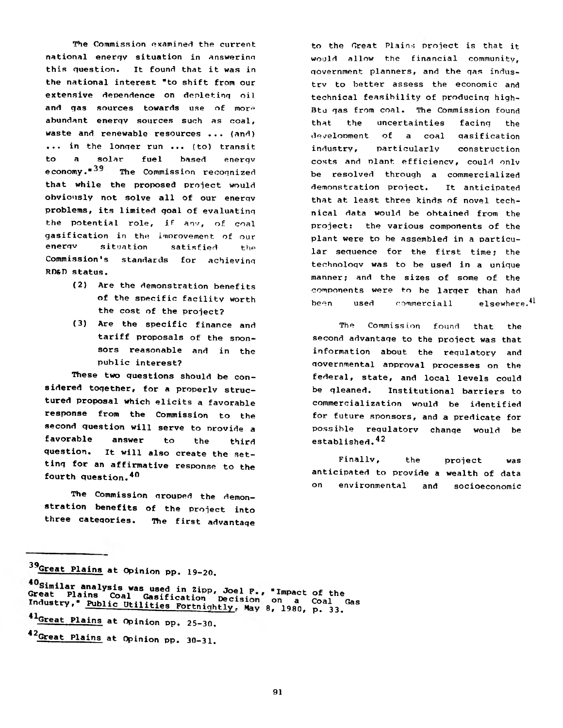**The Commission examined the current national enerqv situation in answering this question. It found that it was in the national interest "to shift from our extensive dependence on depletinq oil** and gas sources towards use of more **abundant enerqy sources such as coal, waste and renewable resources ... (and) ... in the lonqer run ... (to) transit to a solar fuel based enerqv**  $e$  conomy.<sup>439</sup> The Commission recognized **that while the proposed project would obviously not solve all of our enerqv problems, its limited qoal of evaluatinq the potential role, if anv, of coal gasification in the improvement of our enerqv situation satisfied the Commission's standards for achievinq RD&D status.**

- **(2) Are the demonstration benefits of the specific facility worth the cost of the project?**
- **(3) Are the specific finance and tariff proposals of the sponsors reasonable and in the public interest?**

**These two questions should be considered together, for a properly structured proposal which elicits a favorable response from the Commission to the second question will serve to provide a favorable answer to the third question. it will also create the setting for an affirmative response to the fourth question.40**

**The Commission qrouped the demonstration benefits of the project into three categories. The first advantage**

**to the Great Plains project is that it would allow the financial community, government planners, and the gas industry to better assess the economic and technical feasibility of producing high-Btu qas from coal. The Commission found that the uncertainties facing the development of a coal qasification industry, particularly construction** costs and plant efficiency, could only **be resolved through a commercialized demonstration project. It anticipated that at least three kinds of novel technical data would be obtained from the project: the various components of the plant were to be assembled in a particular sequence for the first time; the technologv was to be used in a unique manner; and the sizes of some of the components were to be larger than had been used commercial! elsewhere.^**

**The Commission found that the second advantage to the project was that information about the regulatory and governmental approval processes on the federal, state, and local levels could be gleaned. Institutional barriers to commercialization would be identified for future sponsors, and a predicate for possible requlatorv chanqe would be established.42**

**Finally, the project was anticipated to provide a wealth of data on environmental and socioeconomic**

**<sup>39</sup>Great Plains at Opinion PP. 19-20.**

**a.nalysis was used in Zipp, Joel** Great Plains Coal Gasification Decision on a Coal<br>Industry **Plains** Coal Gasification Decision on a Coal **Industry, Public Utilities Fortnightly, m, 8, 1980, p. 33. on a Coal Gas**

**Great Plains at Opinion pp. 25-30.**

**<sup>42</sup>Great Plains at Opinion pp. 30-31.**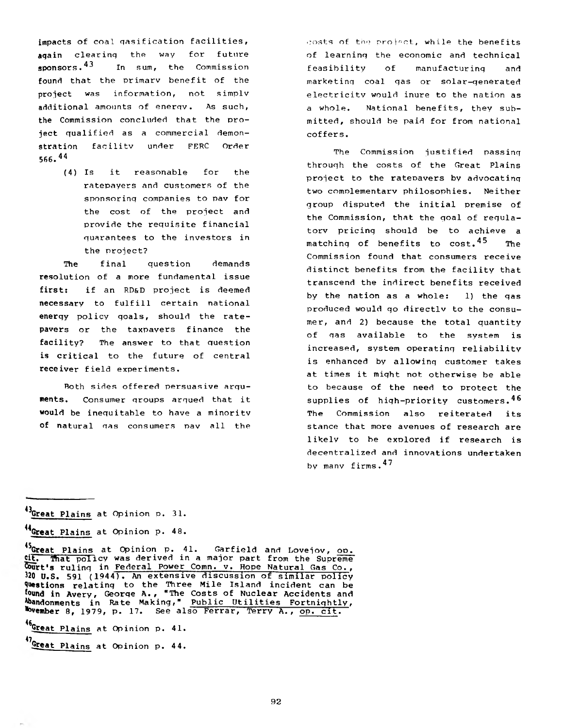**impacts of coal qasification facilities, aqain clearinq the way for future sponsors.4^ In sum, the Commission found that the primary benefit of the project was information, not simply additional amounts of enerqv. As such, the Commission concluded that the project qualified as a commercial demonstration facility under FERC Order 566.44**

> **(4) Is it reasonable for the ratepayers and customers of the sponsorinq companies to pav for the cost of the project and provide the requisite financial quarantees to the investors in the project?**

**The final question demands resolution of a more fundamental issue first: if an RD&D project is deemed necessary to fulfill certain national enerqy policy qoals, should the ratepayers or the taxpayers finance the facility? The answer to that question is critical to the future of central receiver field experiments.**

**Roth sides offered persuasive arquments. Consumer qroups arqued that it would be inequitable to have a minority of natural qas consumers pav all the** costs **of** the project, **while the benefits of learninq the economic and technical feasibility of manufacturinq and marketing coal qas or solar-qenerated electricitv would inure to the nation as a whole. National benefits, they submitted, should be paid for from national coffers.**

**The Commission justified passinq throuqh the costs of the Great Plains project to the rateDavers by advocatinq two complementary philosophies. Neither group disputed the initial premise of the Commission, that the goal of requlatorv pricinq should be to achieve a** matching of benefits to cost.<sup>45</sup> The **Commission found that consumers receive distinct benefits from the facility that transcend the indirect benefits received by the nation as a whole: 1) the qas produced would go directlv to the consumer, and 2) because the total quantity of gas available to the system is increased, system operating reliability is enhanced by allowing customer takes at times it miqht not otherwise be able to because of the need to protect the supplies of high-priority customers.46 The Commission also reiterated its stance that more avenues of research are likely to be explored if research is decentralized and innovations undertaken by many firms.4^**

**46- Great Plains at Opinion p. 41.**

**<sup>^</sup>Great Plains at Opinion p. 31.**

**<sup>^</sup>Great Plains at Opinion p. 48.**

**<sup>^</sup>Great Plains at Opinion p. 41. Garfield and Lovejov, oo. cit.** That policy was derived in a major part from the Supreme **court's rulinq in Federal Power Comn. v. Hope Natural Gas Co., 320 U.S. 591 (1944T- An extensive discussion of similar policy Questions relating to the Three Mile Island incident can be found in Avery, Georqe A., "The Costs of Nuclear Accidents and Abandonments in Rate Making," Public Utilities Fortnightly, Member 8, 1979, p. 17. See also Ferrar, Terry A., op. cit.**

**<sup>4</sup>VGreat Plains at Opinion p. 44.**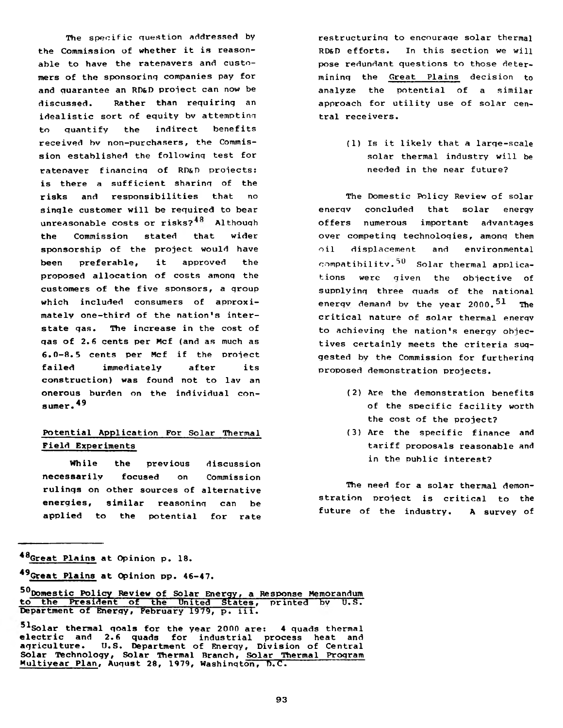**The specific question addressed by the Commission of whether it is reasonable to have the ratepayers and customers of the sponsorinq companies pay for and quarantee an RD&D project can now be discussed. Rather than requiring an idealistic sort of equity bv attemptinq to quantify the indirect benefits received bv non-purchasers, the Commission established the followinq test for rateoaver financinq of RD&D projects: is there a sufficient sharing of the risks and responsibilities that no sinqle customer will be required to bear unreasonable costs or risks? Althouqh the Commission stated that wider sponsorship of the project would have been preferable, it approved the proposed allocation of costs amonq the customers of the five sponsors, a qroup which included consumers of approximately one-third of the nation's interstate qas. The increase in the cost of qas of 2.6 cents per Mcf (and as much as 6.0-8.5 cents per Mcf if the project failed immediately after its construction) was found not to lav an onerous burden on the individual con-49 suraer. '**

# **Potential Application For Solar Thermal Field Experiments**

**While the previous discussion necessarily focused on Commission rulinqs on other sources of alternative energies, similar reasoning can be applied to the potential for rate \***

**restructuring to encnuraqe solar thermal RD&D efforts. In this section we will pose redundant questions to those determining the Great Plains decision to analyze the potential of a similar approach for utility use of solar central receivers.**

> **(1) Is it likely that a large-scale solar thermal industry will be needed in the near future?**

**The Domestic Policy Review of solar enerqv concluded that solar enerqy offers numerous important advantages over competing technoloqies, amonq them oil displacement and environmental** compatibility.<sup>50</sup> Solar thermal applica**tions were given the objective of supplying three quads of the national enerqv demand by the year 2000.51 The critical nature of solar thermal enerqv to achieving the nation's energy objectives certainly meets the criteria suggested by the Commission for furthering proposed demonstration projects.**

- **(2) Are the demonstration benefits of the specific facility worth the cost of the project?**
- **(3) Are the specific finance and tariff proposals reasonable and in the public interest?**

**The need for a solar thermal demonstration project is critical to the future of the industry. A survey of**

**<sup>\*8</sup>Great Plains at Opinion p. 18.**

**<sup>\*9</sup>Great Plains at Opinion pp. 46-47.**

**<sup>^</sup>Domestic Policy Review of Solar Energy, a Response Memorandum to the President of the United States, printed 5v U.S. Department of Energy, February 1979, p. iii.**

**<sup>■^</sup>Solar thermal qoals for the year 2000 are: 4 quads thermal electric and 2.6 quads for industrial process heat and agriculture. U.S. Department of Enerqy, Division of Central** Solar Technology, Solar Thermal Branch, Solar Thermal Program **Multiyear Plan, August 28, 1979, Washington, D.C.**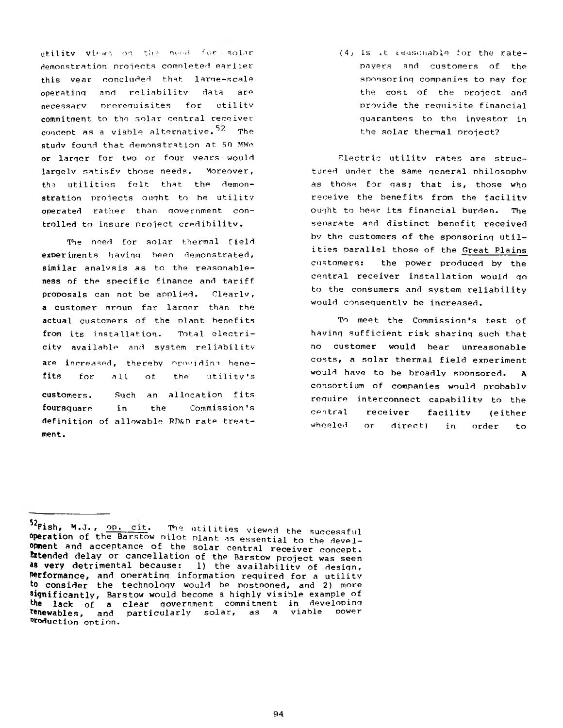utility views on the meed for solar demonstration projects comnleted earlier this vear concluded that large-scale operatinq and reliability data are necessarv nrerenuisites for utilitv commitment to the solar central receiver concept as a viable alternative.<sup>52</sup> The studv found that demonstration at 50 MWe or larqer for two or four vears would largely satisfy those needs. Moreover, the utilities felt that the demonstration projects ought to be utilitv operated rather than government controlled to insure project credibility.

The need for solar thermal field experiments havinq been demonstrated, similar analysis as to the reasonableness of the specific finance and tariff proposals can not be applied. Clearlv, a customer nrouo far larqer than the actual customers of the plant benefits from its installation. Total electricity available and system reliability are increased, thereby providing benefits for all of the utility's Such an allocation fits Commission's customers. foursquare in the definition of allowable RD&D rate treatment.

 $(4)$  Is it reasonable for the ratepayers and customers of the sponsoring companies to pay for the cost of the project and provide the requisite financial quarantees to the investor in the solar thermal project?

Electric utility rates are structured under the same general philosophy as those for gas; that is, those who receive the benefits from the facility ought to bear its financial burden. The separate and distinct benefit received bv the customers of the sponsoring utilities parallel those of the Great Plains customers: the power produced by the central receiver installation would go to the consumers and system reliability would consequently be increased.

To meet the Commission's test of having sufficient risk sharing such that no customer would bear unreasonable costs, a solar thermal field experiment would have to be broadly sponsored. A consortium of companies would probablv require interconnect capability to the central receiver facility (either wheeled or direct) in order to

<sup>52</sup>Fish, M.J., op. cit. The utilities viewed the successful **operation** of the Barstow pilot plant as essential to the devel**opment** and acceptance of the solar central receiver concept. **Extended delay or cancellation of the Barstow project was seen as very detrimental because:** 1) the availability of design, **Perform ance ,** and operating information required for a utilitv to consider the technology would be postponed, and 2) more **significantly, Barstow would become a highly visible example of** the lack of a clear government commitment in developing<br>**tenewables, and particularly solar, as a viable power renewables,** and particularly solar, as a °roduction option.